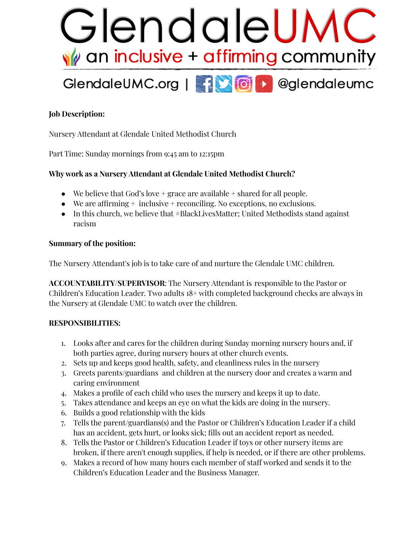

# **Job Description:**

Nursery Attendant at Glendale United Methodist Church

Part Time: Sunday mornings from 9:45 am to 12:15pm

### **Why work as a NurseryAttendant at Glendale United Methodist Church?**

- We believe that God's love  $+$  grace are available  $+$  shared for all people.
- $\bullet$  We are affirming  $+$  inclusive  $+$  reconciling. No exceptions, no exclusions.
- In this church, we believe that #BlackLivesMatter; United Methodists stand against racism

#### **Summary of the position:**

The Nursery Attendant's job is to take care of and nurture the Glendale UMC children.

**ACCOUNTABILITY/SUPERVISOR**: The Nursery Attendant is responsible to the Pastor or Children's Education Leader. Two adults 18+ with completed background checks are always in the Nursery at Glendale UMC to watch over the children.

### **RESPONSIBILITIES:**

- 1. Looks after and cares for the children during Sunday morning nursery hours and, if both parties agree, during nursery hours at other church events.
- 2. Sets up and keeps good health, safety, and cleanliness rules in the nursery
- 3. Greets parents/guardians and children at the nursery door and creates a warm and caring environment
- 4. Makes a profile of each child who uses the nursery and keeps it up to date.
- 5. Takes attendance and keeps an eye on what the kids are doing in the nursery.
- 6. Builds a good relationship with the kids
- 7. Tells the parent/guardians(s) and the Pastor or Children's Education Leader if a child has an accident, gets hurt, or looks sick; fills out an accident report as needed.
- 8. Tells the Pastor or Children's Education Leader if toys or other nursery items are broken, if there aren't enough supplies, if help is needed, or if there are other problems.
- 9. Makes a record of how many hours each member of staff worked and sends it to the Children's Education Leader and the Business Manager.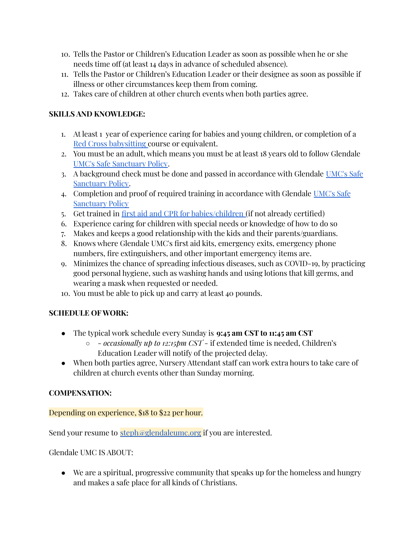- 10. Tells the Pastor or Children's Education Leader as soon as possible when he or she needs time off (at least 14 days in advance of scheduled absence).
- 11. Tells the Pastor or Children's Education Leader or their designee as soon as possible if illness or other circumstances keep them from coming.
- 12. Takes care of children at other church events when both parties agree.

### **SKILLS AND KNOWLEDGE:**

- 1. At least 1 year of experience caring for babies and young children, or completion of a Red Cross [babysitting](https://www.redcross.org/take-a-class/babysitting/babysitting-child-care-training/babysitting-classes) course or equivalent.
- 2. You must be an adult, which means you must be at least 18 years old to follow Glendale UMC's Safe [Sanctuary](https://s3.us-east-1.amazonaws.com/gbod-assets/generic/09-2020-Safe-Sanctuaries-Smaller-Membership-Congregations.pdf) Policy.
- 3. A background check must be done and passed in accordance with Glendale [UMC's](https://s3.us-east-1.amazonaws.com/gbod-assets/generic/09-2020-Safe-Sanctuaries-Smaller-Membership-Congregations.pdf) Safe [Sanctuary](https://s3.us-east-1.amazonaws.com/gbod-assets/generic/09-2020-Safe-Sanctuaries-Smaller-Membership-Congregations.pdf) Policy.
- 4. Completion and proof of required training in accordance with Glendale [UMC's](https://s3.us-east-1.amazonaws.com/gbod-assets/generic/09-2020-Safe-Sanctuaries-Smaller-Membership-Congregations.pdf) Safe [Sanctuary](https://s3.us-east-1.amazonaws.com/gbod-assets/generic/09-2020-Safe-Sanctuaries-Smaller-Membership-Congregations.pdf) Policy
- 5. Get trained in first aid and CPR for [babies/children](https://www.ecprcertification.com/index.php/page/cprandfirstaid_intro) (if not already certified)
- 6. Experience caring for children with special needs or knowledge of how to do so
- 7. Makes and keeps a good relationship with the kids and their parents/guardians.
- 8. Knows where Glendale UMC's first aid kits, emergency exits, emergency phone numbers, fire extinguishers, and other important emergency items are.
- 9. Minimizes the chance of spreading infectious diseases, such as COVID-19, by practicing good personal hygiene, such as washing hands and using lotions that kill germs, and wearing a mask when requested or needed.
- 10. You must be able to pick up and carry at least 40 pounds.

## **SCHEDULE OF WORK:**

- The typical work schedule every Sunday is **9:45 am CST to 11:45 am CST**
	- - *occasionally up to 12:15pm CST* if extended time is needed, Children's Education Leader will notify of the projected delay.
- When both parties agree, Nursery Attendant staff can work extra hours to take care of children at church events other than Sunday morning.

### **COMPENSATION:**

Depending on experience, \$18 to \$22 per hour.

Send your resume to  $\frac{\text{steph@glendaleume.org}}{\text{steph@glendaleume.org}}$  if you are interested.

Glendale UMC IS ABOUT:

● We are a spiritual, progressive community that speaks up for the homeless and hungry and makes a safe place for all kinds of Christians.